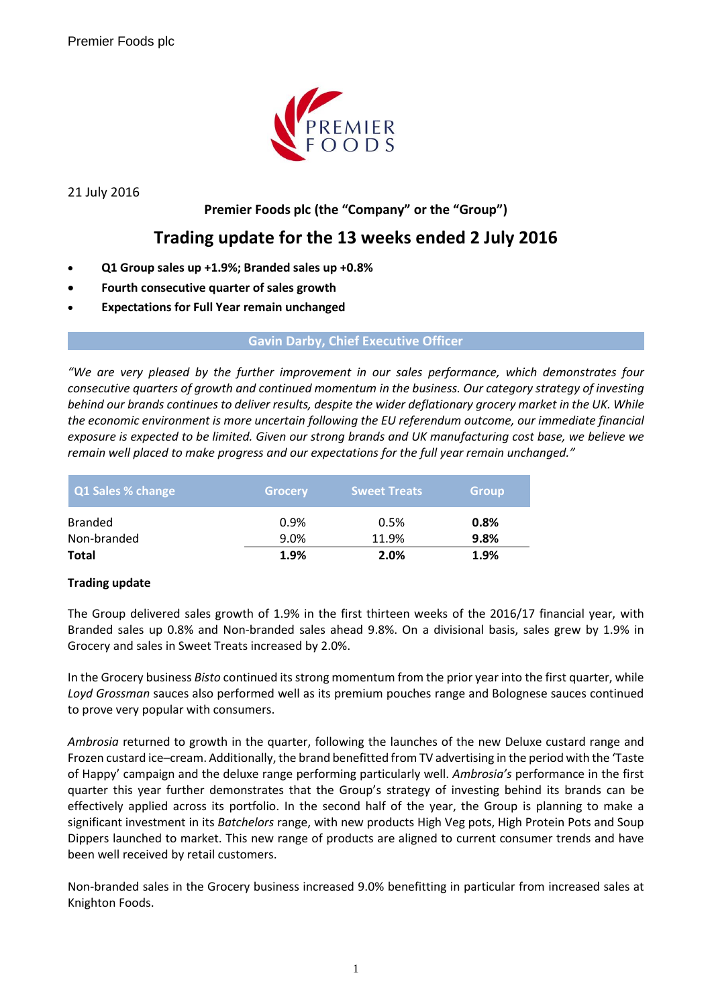

21 July 2016

## **Premier Foods plc (the "Company" or the "Group")**

# **Trading update for the 13 weeks ended 2 July 2016**

- **Q1 Group sales up +1.9%; Branded sales up +0.8%**
- **Fourth consecutive quarter of sales growth**
- **Expectations for Full Year remain unchanged**

#### **Gavin Darby, Chief Executive Officer**

*"We are very pleased by the further improvement in our sales performance, which demonstrates four consecutive quarters of growth and continued momentum in the business. Our category strategy of investing behind our brands continues to deliver results, despite the wider deflationary grocery market in the UK. While the economic environment is more uncertain following the EU referendum outcome, our immediate financial exposure is expected to be limited. Given our strong brands and UK manufacturing cost base, we believe we remain well placed to make progress and our expectations for the full year remain unchanged."*

| Q1 Sales % change             | <b>Grocery</b> | <b>Sweet Treats</b> | <b>Group</b> |
|-------------------------------|----------------|---------------------|--------------|
| <b>Branded</b><br>Non-branded | 0.9%<br>9.0%   | 0.5%<br>11.9%       | 0.8%<br>9.8% |
| <b>Total</b>                  | 1.9%           | 2.0%                | 1.9%         |

### **Trading update**

The Group delivered sales growth of 1.9% in the first thirteen weeks of the 2016/17 financial year, with Branded sales up 0.8% and Non-branded sales ahead 9.8%. On a divisional basis, sales grew by 1.9% in Grocery and sales in Sweet Treats increased by 2.0%.

In the Grocery business *Bisto* continued its strong momentum from the prior year into the first quarter, while *Loyd Grossman* sauces also performed well as its premium pouches range and Bolognese sauces continued to prove very popular with consumers.

*Ambrosia* returned to growth in the quarter, following the launches of the new Deluxe custard range and Frozen custard ice–cream. Additionally, the brand benefitted from TV advertising in the period with the 'Taste of Happy' campaign and the deluxe range performing particularly well. *Ambrosia's* performance in the first quarter this year further demonstrates that the Group's strategy of investing behind its brands can be effectively applied across its portfolio. In the second half of the year, the Group is planning to make a significant investment in its *Batchelors* range, with new products High Veg pots, High Protein Pots and Soup Dippers launched to market. This new range of products are aligned to current consumer trends and have been well received by retail customers.

Non-branded sales in the Grocery business increased 9.0% benefitting in particular from increased sales at Knighton Foods.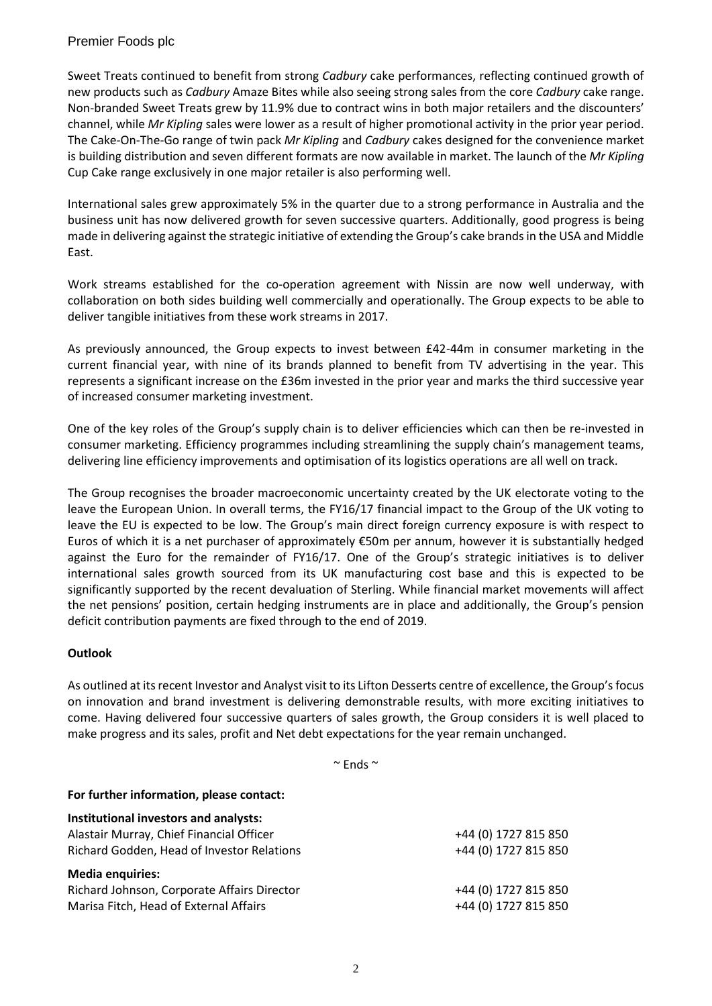### Premier Foods plc

Sweet Treats continued to benefit from strong *Cadbury* cake performances, reflecting continued growth of new products such as *Cadbury* Amaze Bites while also seeing strong sales from the core *Cadbury* cake range. Non-branded Sweet Treats grew by 11.9% due to contract wins in both major retailers and the discounters' channel, while *Mr Kipling* sales were lower as a result of higher promotional activity in the prior year period. The Cake-On-The-Go range of twin pack *Mr Kipling* and *Cadbury* cakes designed for the convenience market is building distribution and seven different formats are now available in market. The launch of the *Mr Kipling* Cup Cake range exclusively in one major retailer is also performing well.

International sales grew approximately 5% in the quarter due to a strong performance in Australia and the business unit has now delivered growth for seven successive quarters. Additionally, good progress is being made in delivering against the strategic initiative of extending the Group's cake brands in the USA and Middle East.

Work streams established for the co-operation agreement with Nissin are now well underway, with collaboration on both sides building well commercially and operationally. The Group expects to be able to deliver tangible initiatives from these work streams in 2017.

As previously announced, the Group expects to invest between £42-44m in consumer marketing in the current financial year, with nine of its brands planned to benefit from TV advertising in the year. This represents a significant increase on the £36m invested in the prior year and marks the third successive year of increased consumer marketing investment.

One of the key roles of the Group's supply chain is to deliver efficiencies which can then be re-invested in consumer marketing. Efficiency programmes including streamlining the supply chain's management teams, delivering line efficiency improvements and optimisation of its logistics operations are all well on track.

The Group recognises the broader macroeconomic uncertainty created by the UK electorate voting to the leave the European Union. In overall terms, the FY16/17 financial impact to the Group of the UK voting to leave the EU is expected to be low. The Group's main direct foreign currency exposure is with respect to Euros of which it is a net purchaser of approximately €50m per annum, however it is substantially hedged against the Euro for the remainder of FY16/17. One of the Group's strategic initiatives is to deliver international sales growth sourced from its UK manufacturing cost base and this is expected to be significantly supported by the recent devaluation of Sterling. While financial market movements will affect the net pensions' position, certain hedging instruments are in place and additionally, the Group's pension deficit contribution payments are fixed through to the end of 2019.

### **Outlook**

As outlined at its recent Investor and Analyst visit to its Lifton Desserts centre of excellence, the Group's focus on innovation and brand investment is delivering demonstrable results, with more exciting initiatives to come. Having delivered four successive quarters of sales growth, the Group considers it is well placed to make progress and its sales, profit and Net debt expectations for the year remain unchanged.

 $\sim$  Ends  $\sim$ 

| For further information, please contact:    |                      |
|---------------------------------------------|----------------------|
| Institutional investors and analysts:       |                      |
| Alastair Murray, Chief Financial Officer    | +44 (0) 1727 815 850 |
| Richard Godden, Head of Investor Relations  | +44 (0) 1727 815 850 |
| <b>Media enquiries:</b>                     |                      |
| Richard Johnson, Corporate Affairs Director | +44 (0) 1727 815 850 |
| Marisa Fitch, Head of External Affairs      | +44 (0) 1727 815 850 |